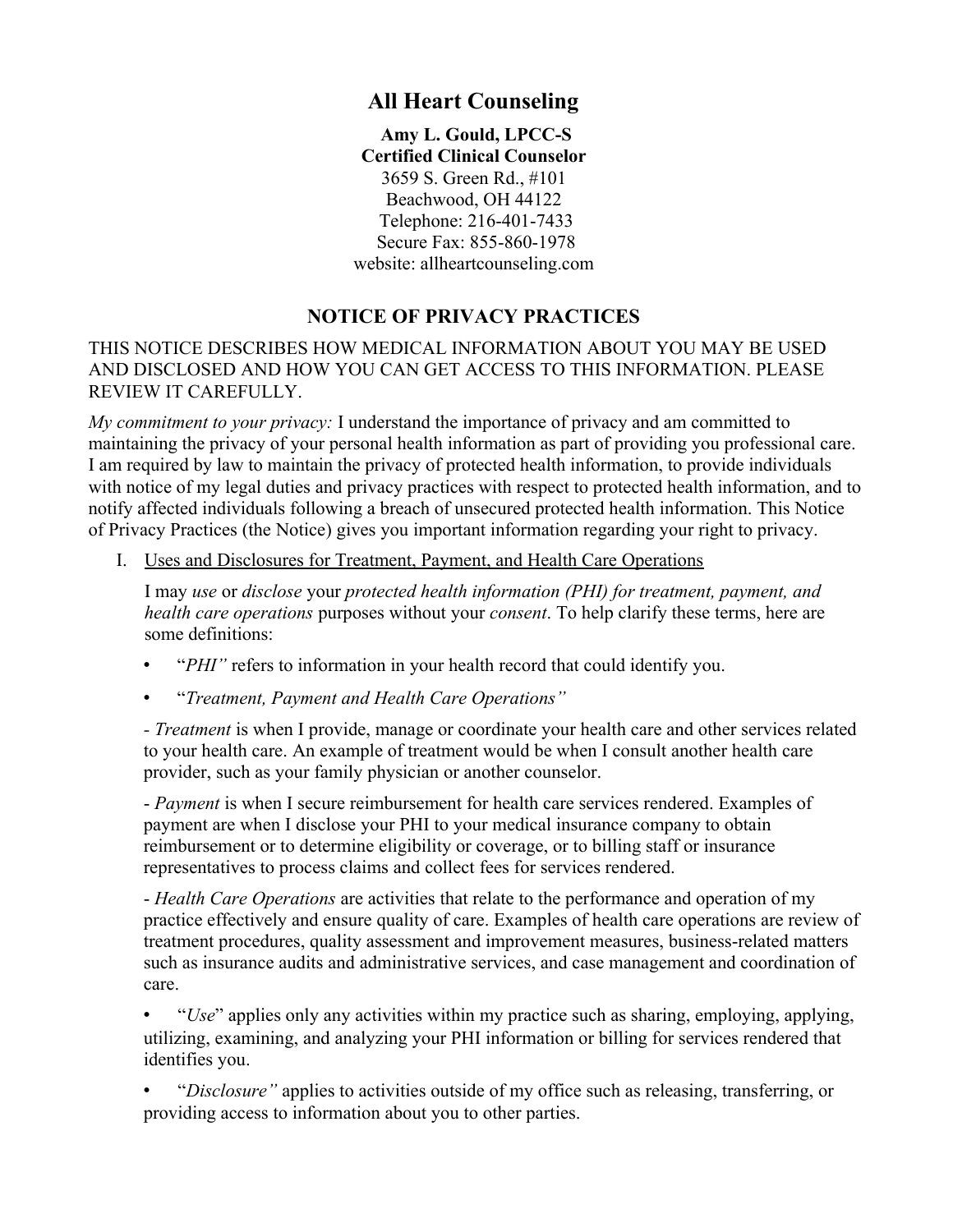# **All Heart Counseling**

**Amy L. Gould, LPCC-S Certified Clinical Counselor**  3659 S. Green Rd., #101 Beachwood, OH 44122 Telephone: 216-401-7433 Secure Fax: 855-860-1978 website: allheartcounseling.com

## **NOTICE OF PRIVACY PRACTICES**

THIS NOTICE DESCRIBES HOW MEDICAL INFORMATION ABOUT YOU MAY BE USED AND DISCLOSED AND HOW YOU CAN GET ACCESS TO THIS INFORMATION. PLEASE REVIEW IT CAREFULLY.

*My commitment to your privacy:* I understand the importance of privacy and am committed to maintaining the privacy of your personal health information as part of providing you professional care. I am required by law to maintain the privacy of protected health information, to provide individuals with notice of my legal duties and privacy practices with respect to protected health information, and to notify affected individuals following a breach of unsecured protected health information. This Notice of Privacy Practices (the Notice) gives you important information regarding your right to privacy.

I. Uses and Disclosures for Treatment, Payment, and Health Care Operations

I may *use* or *disclose* your *protected health information (PHI) for treatment, payment, and health care operations* purposes without your *consent*. To help clarify these terms, here are some definitions:

- "*PHI"* refers to information in your health record that could identify you.
- "*Treatment, Payment and Health Care Operations"*

*- Treatment* is when I provide, manage or coordinate your health care and other services related to your health care. An example of treatment would be when I consult another health care provider, such as your family physician or another counselor.

- *Payment* is when I secure reimbursement for health care services rendered. Examples of payment are when I disclose your PHI to your medical insurance company to obtain reimbursement or to determine eligibility or coverage, or to billing staff or insurance representatives to process claims and collect fees for services rendered.

- *Health Care Operations* are activities that relate to the performance and operation of my practice effectively and ensure quality of care. Examples of health care operations are review of treatment procedures, quality assessment and improvement measures, business-related matters such as insurance audits and administrative services, and case management and coordination of care.

• "*Use*" applies only any activities within my practice such as sharing, employing, applying, utilizing, examining, and analyzing your PHI information or billing for services rendered that identifies you.

• "*Disclosure"* applies to activities outside of my office such as releasing, transferring, or providing access to information about you to other parties.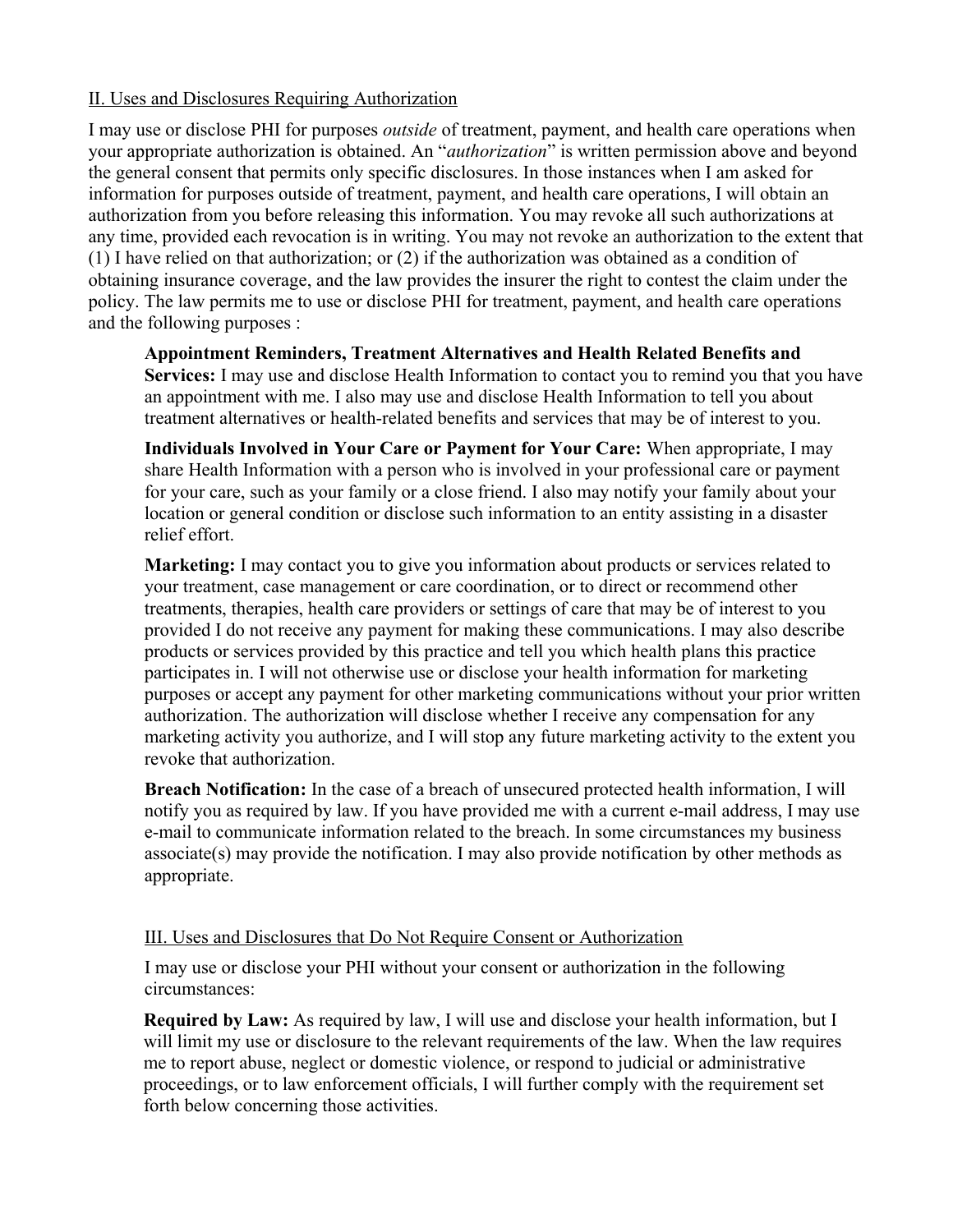## II. Uses and Disclosures Requiring Authorization

I may use or disclose PHI for purposes *outside* of treatment, payment, and health care operations when your appropriate authorization is obtained. An "*authorization*" is written permission above and beyond the general consent that permits only specific disclosures. In those instances when I am asked for information for purposes outside of treatment, payment, and health care operations, I will obtain an authorization from you before releasing this information. You may revoke all such authorizations at any time, provided each revocation is in writing. You may not revoke an authorization to the extent that (1) I have relied on that authorization; or (2) if the authorization was obtained as a condition of obtaining insurance coverage, and the law provides the insurer the right to contest the claim under the policy. The law permits me to use or disclose PHI for treatment, payment, and health care operations and the following purposes :

**Appointment Reminders, Treatment Alternatives and Health Related Benefits and Services:** I may use and disclose Health Information to contact you to remind you that you have an appointment with me. I also may use and disclose Health Information to tell you about treatment alternatives or health-related benefits and services that may be of interest to you.

**Individuals Involved in Your Care or Payment for Your Care:** When appropriate, I may share Health Information with a person who is involved in your professional care or payment for your care, such as your family or a close friend. I also may notify your family about your location or general condition or disclose such information to an entity assisting in a disaster relief effort.

**Marketing:** I may contact you to give you information about products or services related to your treatment, case management or care coordination, or to direct or recommend other treatments, therapies, health care providers or settings of care that may be of interest to you provided I do not receive any payment for making these communications. I may also describe products or services provided by this practice and tell you which health plans this practice participates in. I will not otherwise use or disclose your health information for marketing purposes or accept any payment for other marketing communications without your prior written authorization. The authorization will disclose whether I receive any compensation for any marketing activity you authorize, and I will stop any future marketing activity to the extent you revoke that authorization.

**Breach Notification:** In the case of a breach of unsecured protected health information, I will notify you as required by law. If you have provided me with a current e-mail address, I may use e-mail to communicate information related to the breach. In some circumstances my business  $\alpha$  associate(s) may provide the notification. I may also provide notification by other methods as appropriate.

## III. Uses and Disclosures that Do Not Require Consent or Authorization

I may use or disclose your PHI without your consent or authorization in the following circumstances:

**Required by Law:** As required by law, I will use and disclose your health information, but I will limit my use or disclosure to the relevant requirements of the law. When the law requires me to report abuse, neglect or domestic violence, or respond to judicial or administrative proceedings, or to law enforcement officials, I will further comply with the requirement set forth below concerning those activities.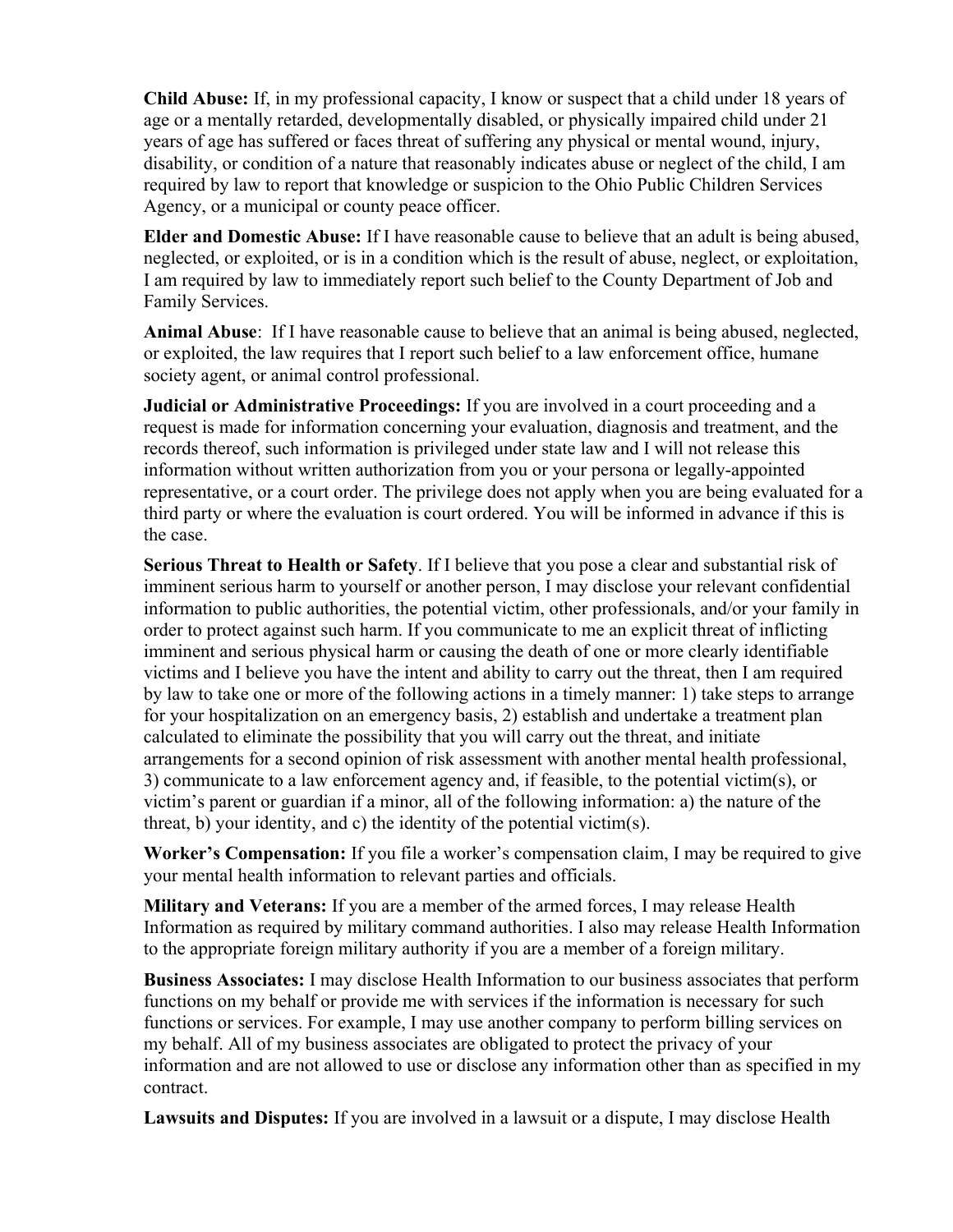**Child Abuse:** If, in my professional capacity, I know or suspect that a child under 18 years of age or a mentally retarded, developmentally disabled, or physically impaired child under 21 years of age has suffered or faces threat of suffering any physical or mental wound, injury, disability, or condition of a nature that reasonably indicates abuse or neglect of the child, I am required by law to report that knowledge or suspicion to the Ohio Public Children Services Agency, or a municipal or county peace officer.

**Elder and Domestic Abuse:** If I have reasonable cause to believe that an adult is being abused, neglected, or exploited, or is in a condition which is the result of abuse, neglect, or exploitation, I am required by law to immediately report such belief to the County Department of Job and Family Services.

**Animal Abuse**: If I have reasonable cause to believe that an animal is being abused, neglected, or exploited, the law requires that I report such belief to a law enforcement office, humane society agent, or animal control professional.

**Judicial or Administrative Proceedings:** If you are involved in a court proceeding and a request is made for information concerning your evaluation, diagnosis and treatment, and the records thereof, such information is privileged under state law and I will not release this information without written authorization from you or your persona or legally-appointed representative, or a court order. The privilege does not apply when you are being evaluated for a third party or where the evaluation is court ordered. You will be informed in advance if this is the case.

**Serious Threat to Health or Safety**. If I believe that you pose a clear and substantial risk of imminent serious harm to yourself or another person, I may disclose your relevant confidential information to public authorities, the potential victim, other professionals, and/or your family in order to protect against such harm. If you communicate to me an explicit threat of inflicting imminent and serious physical harm or causing the death of one or more clearly identifiable victims and I believe you have the intent and ability to carry out the threat, then I am required by law to take one or more of the following actions in a timely manner: 1) take steps to arrange for your hospitalization on an emergency basis, 2) establish and undertake a treatment plan calculated to eliminate the possibility that you will carry out the threat, and initiate arrangements for a second opinion of risk assessment with another mental health professional, 3) communicate to a law enforcement agency and, if feasible, to the potential victim(s), or victim's parent or guardian if a minor, all of the following information: a) the nature of the threat, b) your identity, and c) the identity of the potential victim(s).

**Worker's Compensation:** If you file a worker's compensation claim, I may be required to give your mental health information to relevant parties and officials.

**Military and Veterans:** If you are a member of the armed forces, I may release Health Information as required by military command authorities. I also may release Health Information to the appropriate foreign military authority if you are a member of a foreign military.

**Business Associates:** I may disclose Health Information to our business associates that perform functions on my behalf or provide me with services if the information is necessary for such functions or services. For example, I may use another company to perform billing services on my behalf. All of my business associates are obligated to protect the privacy of your information and are not allowed to use or disclose any information other than as specified in my contract.

**Lawsuits and Disputes:** If you are involved in a lawsuit or a dispute, I may disclose Health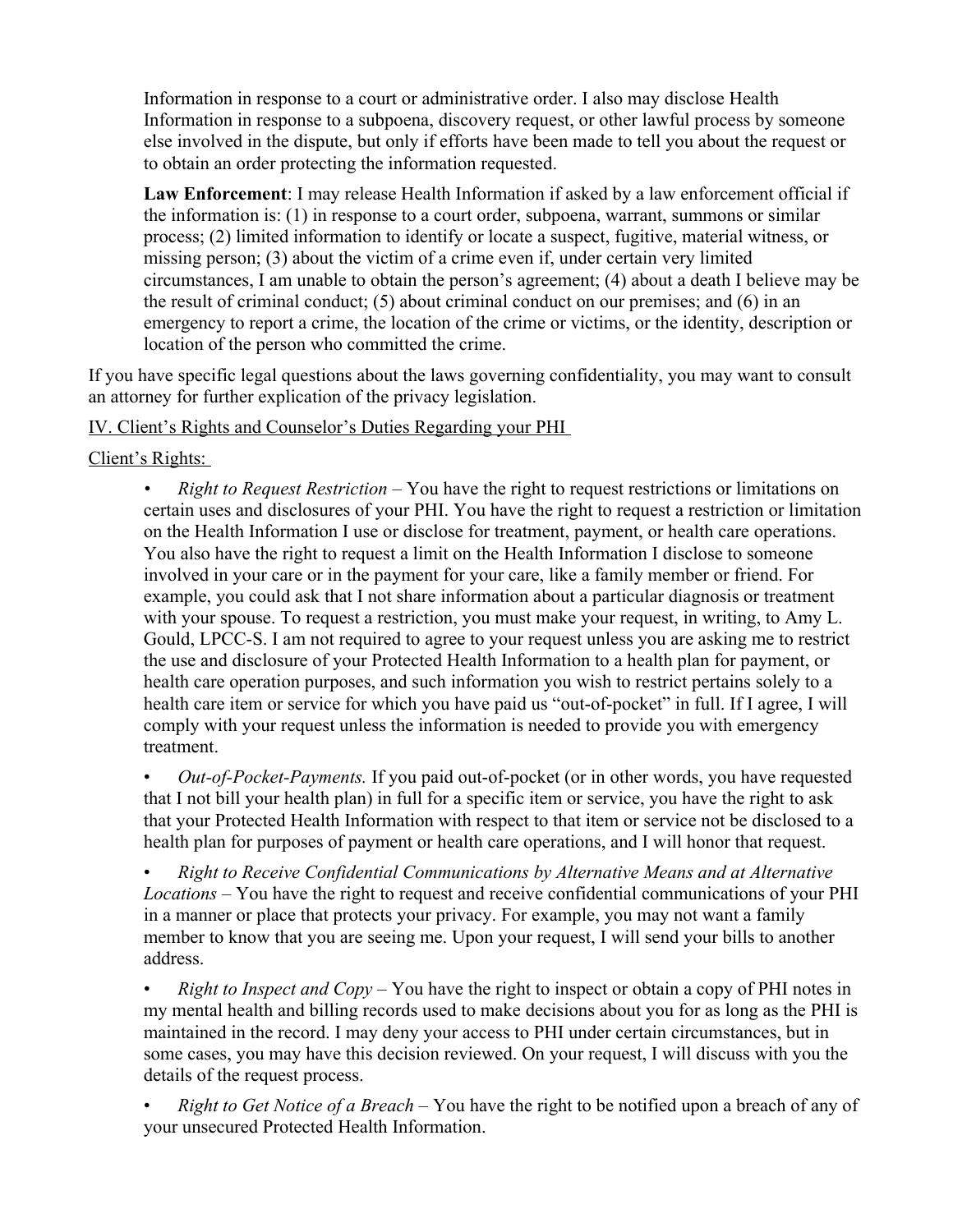Information in response to a court or administrative order. I also may disclose Health Information in response to a subpoena, discovery request, or other lawful process by someone else involved in the dispute, but only if efforts have been made to tell you about the request or to obtain an order protecting the information requested.

**Law Enforcement**: I may release Health Information if asked by a law enforcement official if the information is: (1) in response to a court order, subpoena, warrant, summons or similar process; (2) limited information to identify or locate a suspect, fugitive, material witness, or missing person; (3) about the victim of a crime even if, under certain very limited circumstances, I am unable to obtain the person's agreement; (4) about a death I believe may be the result of criminal conduct; (5) about criminal conduct on our premises; and (6) in an emergency to report a crime, the location of the crime or victims, or the identity, description or location of the person who committed the crime.

If you have specific legal questions about the laws governing confidentiality, you may want to consult an attorney for further explication of the privacy legislation.

## IV. Client's Rights and Counselor's Duties Regarding your PHI

Client's Rights:

• *Right to Request Restriction* – You have the right to request restrictions or limitations on certain uses and disclosures of your PHI. You have the right to request a restriction or limitation on the Health Information I use or disclose for treatment, payment, or health care operations. You also have the right to request a limit on the Health Information I disclose to someone involved in your care or in the payment for your care, like a family member or friend. For example, you could ask that I not share information about a particular diagnosis or treatment with your spouse. To request a restriction, you must make your request, in writing, to Amy L. Gould, LPCC-S. I am not required to agree to your request unless you are asking me to restrict the use and disclosure of your Protected Health Information to a health plan for payment, or health care operation purposes, and such information you wish to restrict pertains solely to a health care item or service for which you have paid us "out-of-pocket" in full. If I agree, I will comply with your request unless the information is needed to provide you with emergency treatment.

• *Out-of-Pocket-Payments.* If you paid out-of-pocket (or in other words, you have requested that I not bill your health plan) in full for a specific item or service, you have the right to ask that your Protected Health Information with respect to that item or service not be disclosed to a health plan for purposes of payment or health care operations, and I will honor that request.

• *Right to Receive Confidential Communications by Alternative Means and at Alternative Locations –* You have the right to request and receive confidential communications of your PHI in a manner or place that protects your privacy. For example, you may not want a family member to know that you are seeing me. Upon your request, I will send your bills to another address.

• *Right to Inspect and Copy –* You have the right to inspect or obtain a copy of PHI notes in my mental health and billing records used to make decisions about you for as long as the PHI is maintained in the record. I may deny your access to PHI under certain circumstances, but in some cases, you may have this decision reviewed. On your request, I will discuss with you the details of the request process.

• *Right to Get Notice of a Breach –* You have the right to be notified upon a breach of any of your unsecured Protected Health Information.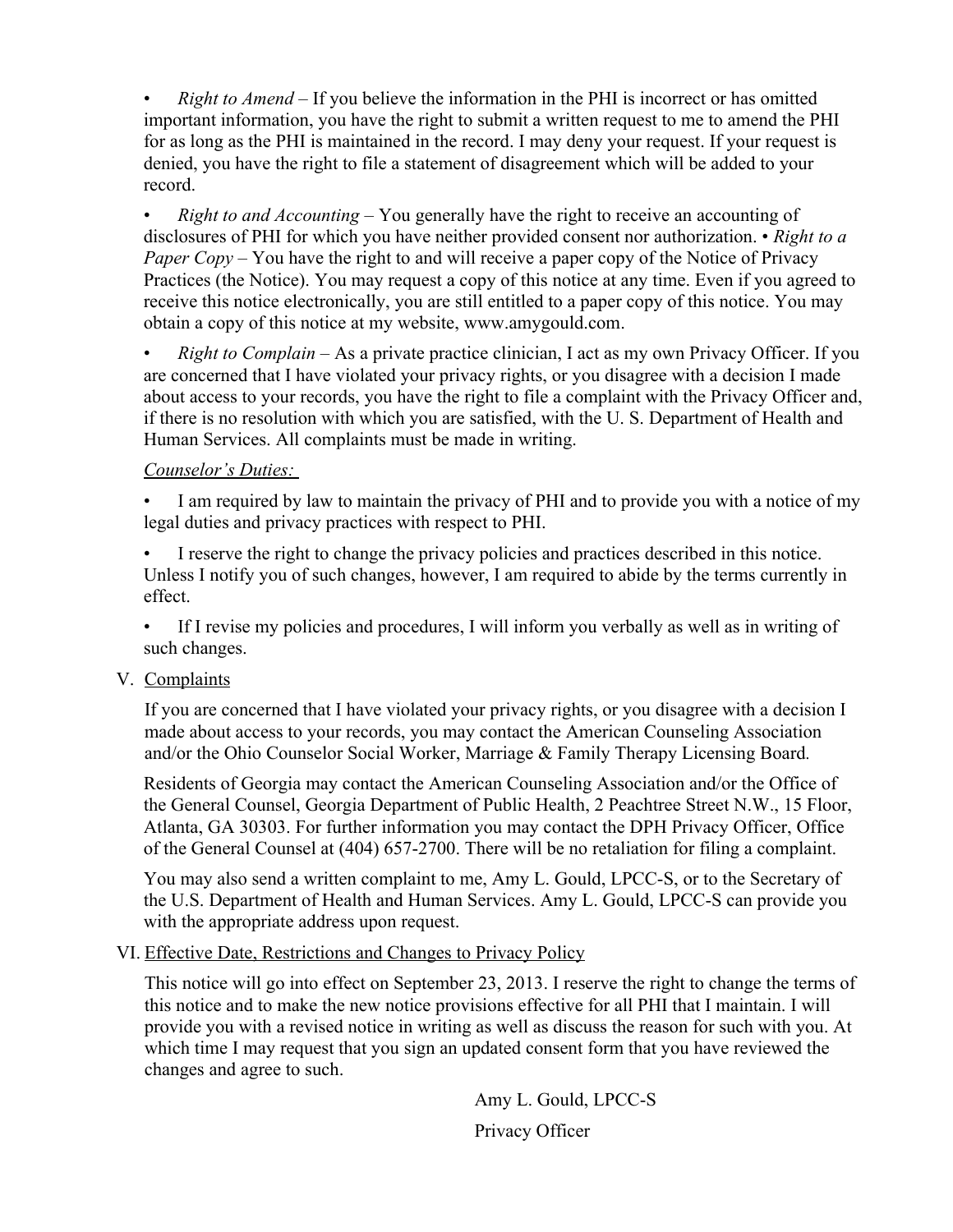• *Right to Amend –* If you believe the information in the PHI is incorrect or has omitted important information, you have the right to submit a written request to me to amend the PHI for as long as the PHI is maintained in the record. I may deny your request. If your request is denied, you have the right to file a statement of disagreement which will be added to your record.

• *Right to and Accounting –* You generally have the right to receive an accounting of disclosures of PHI for which you have neither provided consent nor authorization. • *Right to a Paper Copy –* You have the right to and will receive a paper copy of the Notice of Privacy Practices (the Notice). You may request a copy of this notice at any time. Even if you agreed to receive this notice electronically, you are still entitled to a paper copy of this notice. You may obtain a copy of this notice at my website, www.amygould.com.

• *Right to Complain –* As a private practice clinician, I act as my own Privacy Officer. If you are concerned that I have violated your privacy rights, or you disagree with a decision I made about access to your records, you have the right to file a complaint with the Privacy Officer and, if there is no resolution with which you are satisfied, with the U. S. Department of Health and Human Services. All complaints must be made in writing.

## *Counselor's Duties:*

I am required by law to maintain the privacy of PHI and to provide you with a notice of my legal duties and privacy practices with respect to PHI.

• I reserve the right to change the privacy policies and practices described in this notice. Unless I notify you of such changes, however, I am required to abide by the terms currently in effect.

• If I revise my policies and procedures, I will inform you verbally as well as in writing of such changes.

## V. Complaints

If you are concerned that I have violated your privacy rights, or you disagree with a decision I made about access to your records, you may contact the American Counseling Association and/or the Ohio Counselor Social Worker, Marriage & Family Therapy Licensing Board*.* 

Residents of Georgia may contact the American Counseling Association and/or the Office of the General Counsel, Georgia Department of Public Health, 2 Peachtree Street N.W., 15 Floor, Atlanta, GA 30303. For further information you may contact the DPH Privacy Officer, Office of the General Counsel at (404) 657-2700. There will be no retaliation for filing a complaint.

You may also send a written complaint to me, Amy L. Gould, LPCC-S, or to the Secretary of the U.S. Department of Health and Human Services. Amy L. Gould, LPCC-S can provide you with the appropriate address upon request.

## VI. Effective Date, Restrictions and Changes to Privacy Policy

This notice will go into effect on September 23, 2013. I reserve the right to change the terms of this notice and to make the new notice provisions effective for all PHI that I maintain. I will provide you with a revised notice in writing as well as discuss the reason for such with you. At which time I may request that you sign an updated consent form that you have reviewed the changes and agree to such.

> Amy L. Gould, LPCC-S Privacy Officer